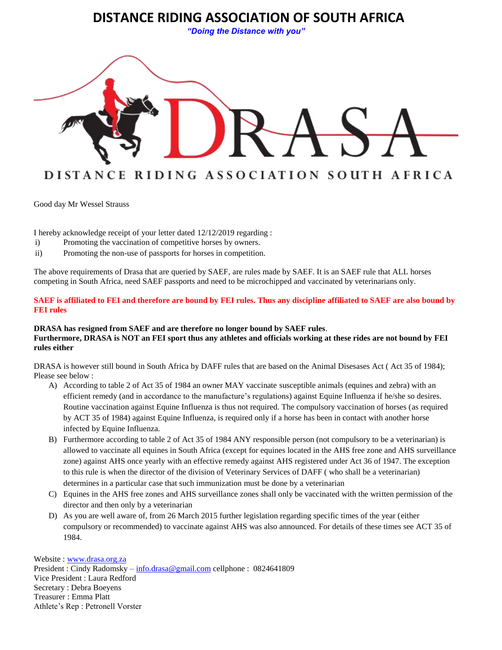# **DISTANCE RIDING ASSOCIATION OF SOUTH AFRICA**

*"Doing the Distance with you"*



Good day Mr Wessel Strauss

I hereby acknowledge receipt of your letter dated 12/12/2019 regarding :

- i) Promoting the vaccination of competitive horses by owners.
- ii) Promoting the non-use of passports for horses in competition.

The above requirements of Drasa that are queried by SAEF, are rules made by SAEF. It is an SAEF rule that ALL horses competing in South Africa, need SAEF passports and need to be microchipped and vaccinated by veterinarians only.

**SAEF is affiliated to FEI and therefore are bound by FEI rules. Thus any discipline affiliated to SAEF are also bound by FEI rules**

## **DRASA has resigned from SAEF and are therefore no longer bound by SAEF rules**. **Furthermore, DRASA is NOT an FEI sport thus any athletes and officials working at these rides are not bound by FEI rules either**

DRASA is however still bound in South Africa by DAFF rules that are based on the Animal Disesases Act ( Act 35 of 1984); Please see below :

- A) According to table 2 of Act 35 of 1984 an owner MAY vaccinate susceptible animals (equines and zebra) with an efficient remedy (and in accordance to the manufacture's regulations) against Equine Influenza if he/she so desires. Routine vaccination against Equine Influenza is thus not required. The compulsory vaccination of horses (as required by ACT 35 of 1984) against Equine Influenza, is required only if a horse has been in contact with another horse infected by Equine Influenza.
- B) Furthermore according to table 2 of Act 35 of 1984 ANY responsible person (not compulsory to be a veterinarian) is allowed to vaccinate all equines in South Africa (except for equines located in the AHS free zone and AHS surveillance zone) against AHS once yearly with an effective remedy against AHS registered under Act 36 of 1947. The exception to this rule is when the director of the division of Veterinary Services of DAFF ( who shall be a veterinarian) determines in a particular case that such immunization must be done by a veterinarian
- C) Equines in the AHS free zones and AHS surveillance zones shall only be vaccinated with the written permission of the director and then only by a veterinarian
- D) As you are well aware of, from 26 March 2015 further legislation regarding specific times of the year (either compulsory or recommended) to vaccinate against AHS was also announced. For details of these times see ACT 35 of 1984.

Website : [www.drasa.org.za](http://www.drasa.org.za/)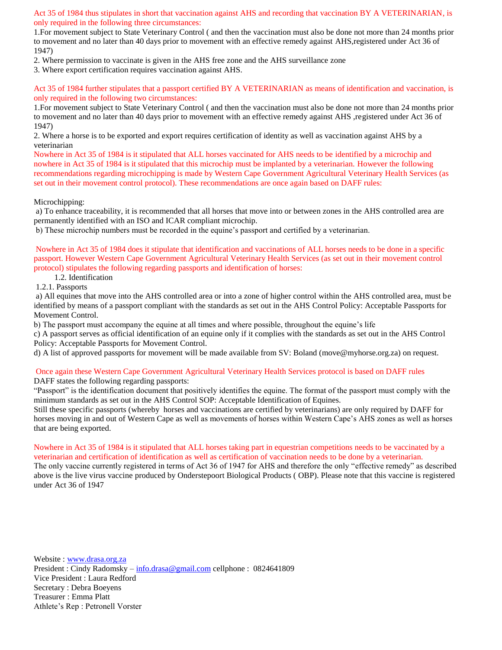Act 35 of 1984 thus stipulates in short that vaccination against AHS and recording that vaccination BY A VETERINARIAN, is only required in the following three circumstances:

1.For movement subject to State Veterinary Control ( and then the vaccination must also be done not more than 24 months prior to movement and no later than 40 days prior to movement with an effective remedy against AHS,registered under Act 36 of 1947)

2. Where permission to vaccinate is given in the AHS free zone and the AHS surveillance zone

3. Where export certification requires vaccination against AHS.

Act 35 of 1984 further stipulates that a passport certified BY A VETERINARIAN as means of identification and vaccination, is only required in the following two circumstances:

1.For movement subject to State Veterinary Control ( and then the vaccination must also be done not more than 24 months prior to movement and no later than 40 days prior to movement with an effective remedy against AHS ,registered under Act 36 of 1947)

2. Where a horse is to be exported and export requires certification of identity as well as vaccination against AHS by a veterinarian

Nowhere in Act 35 of 1984 is it stipulated that ALL horses vaccinated for AHS needs to be identified by a microchip and nowhere in Act 35 of 1984 is it stipulated that this microchip must be implanted by a veterinarian. However the following recommendations regarding microchipping is made by Western Cape Government Agricultural Veterinary Health Services (as set out in their movement control protocol). These recommendations are once again based on DAFF rules:

#### Microchipping:

a) To enhance traceability, it is recommended that all horses that move into or between zones in the AHS controlled area are permanently identified with an ISO and ICAR compliant microchip.

b) These microchip numbers must be recorded in the equine's passport and certified by a veterinarian.

Nowhere in Act 35 of 1984 does it stipulate that identification and vaccinations of ALL horses needs to be done in a specific passport. However Western Cape Government Agricultural Veterinary Health Services (as set out in their movement control protocol) stipulates the following regarding passports and identification of horses:

1.2. Identification

1.2.1. Passports

a) All equines that move into the AHS controlled area or into a zone of higher control within the AHS controlled area, must be identified by means of a passport compliant with the standards as set out in the AHS Control Policy: Acceptable Passports for Movement Control.

b) The passport must accompany the equine at all times and where possible, throughout the equine's life

c) A passport serves as official identification of an equine only if it complies with the standards as set out in the AHS Control Policy: Acceptable Passports for Movement Control.

d) A list of approved passports for movement will be made available from SV: Boland (move@myhorse.org.za) on request.

#### Once again these Western Cape Government Agricultural Veterinary Health Services protocol is based on DAFF rules

DAFF states the following regarding passports:

"Passport" is the identification document that positively identifies the equine. The format of the passport must comply with the minimum standards as set out in the AHS Control SOP: Acceptable Identification of Equines.

Still these specific passports (whereby horses and vaccinations are certified by veterinarians) are only required by DAFF for horses moving in and out of Western Cape as well as movements of horses within Western Cape's AHS zones as well as horses that are being exported.

#### Nowhere in Act 35 of 1984 is it stipulated that ALL horses taking part in equestrian competitions needs to be vaccinated by a veterinarian and certification of identification as well as certification of vaccination needs to be done by a veterinarian.

The only vaccine currently registered in terms of Act 36 of 1947 for AHS and therefore the only "effective remedy" as described above is the live virus vaccine produced by Onderstepoort Biological Products ( OBP). Please note that this vaccine is registered under Act 36 of 1947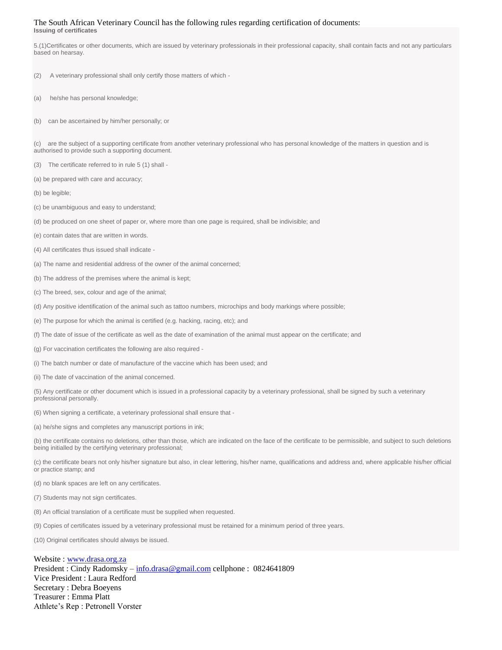#### The South African Veterinary Council has the following rules regarding certification of documents:

**Issuing of certificates**

5.(1)Certificates or other documents, which are issued by veterinary professionals in their professional capacity, shall contain facts and not any particulars based on hearsay.

- (2) A veterinary professional shall only certify those matters of which -
- (a) he/she has personal knowledge;
- (b) can be ascertained by him/her personally; or

(c) are the subject of a supporting certificate from another veterinary professional who has personal knowledge of the matters in question and is authorised to provide such a supporting document.

(3) The certificate referred to in rule 5 (1) shall -

(a) be prepared with care and accuracy;

(b) be legible;

- (c) be unambiguous and easy to understand;
- (d) be produced on one sheet of paper or, where more than one page is required, shall be indivisible; and
- (e) contain dates that are written in words.
- (4) All certificates thus issued shall indicate -
- (a) The name and residential address of the owner of the animal concerned;
- (b) The address of the premises where the animal is kept;
- (c) The breed, sex, colour and age of the animal;
- (d) Any positive identification of the animal such as tattoo numbers, microchips and body markings where possible;
- (e) The purpose for which the animal is certified (e.g. hacking, racing, etc); and
- (f) The date of issue of the certificate as well as the date of examination of the animal must appear on the certificate; and
- (g) For vaccination certificates the following are also required -
- (i) The batch number or date of manufacture of the vaccine which has been used; and
- (ii) The date of vaccination of the animal concerned.
- (5) Any certificate or other document which is issued in a professional capacity by a veterinary professional, shall be signed by such a veterinary professional personally.
- (6) When signing a certificate, a veterinary professional shall ensure that -
- (a) he/she signs and completes any manuscript portions in ink;
- (b) the certificate contains no deletions, other than those, which are indicated on the face of the certificate to be permissible, and subject to such deletions being initialled by the certifying veterinary professional;
- (c) the certificate bears not only his/her signature but also, in clear lettering, his/her name, qualifications and address and, where applicable his/her official or practice stamp; and
- (d) no blank spaces are left on any certificates.
- (7) Students may not sign certificates.
- (8) An official translation of a certificate must be supplied when requested.
- (9) Copies of certificates issued by a veterinary professional must be retained for a minimum period of three years.

(10) Original certificates should always be issued.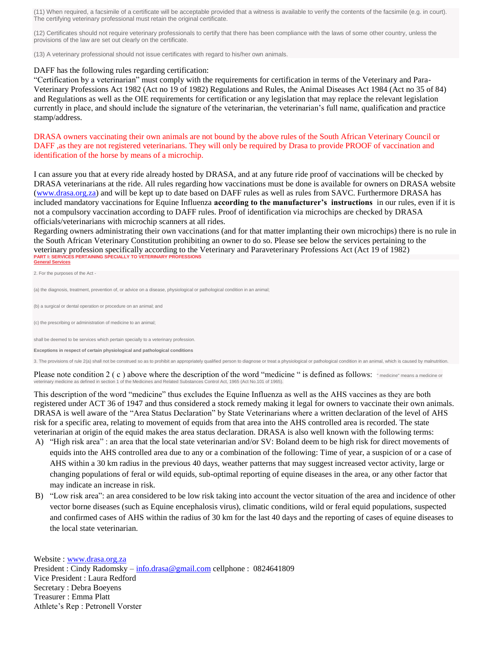(11) When required, a facsimile of a certificate will be acceptable provided that a witness is available to verify the contents of the facsimile (e.g. in court). The certifying veterinary professional must retain the original certificate.

(12) Certificates should not require veterinary professionals to certify that there has been compliance with the laws of some other country, unless the provisions of the law are set out clearly on the certificate.

(13) A veterinary professional should not issue certificates with regard to his/her own animals.

#### DAFF has the following rules regarding certification:

"Certification by a veterinarian" must comply with the requirements for certification in terms of the Veterinary and Para-Veterinary Professions Act 1982 (Act no 19 of 1982) Regulations and Rules, the Animal Diseases Act 1984 (Act no 35 of 84) and Regulations as well as the OIE requirements for certification or any legislation that may replace the relevant legislation currently in place, and should include the signature of the veterinarian, the veterinarian's full name, qualification and practice stamp/address.

DRASA owners vaccinating their own animals are not bound by the above rules of the South African Veterinary Council or DAFF ,as they are not registered veterinarians. They will only be required by Drasa to provide PROOF of vaccination and identification of the horse by means of a microchip.

I can assure you that at every ride already hosted by DRASA, and at any future ride proof of vaccinations will be checked by DRASA veterinarians at the ride. All rules regarding how vaccinations must be done is available for owners on DRASA website [\(www.drasa.org.za\)](http://www.drasa.org.za/) and will be kept up to date based on DAFF rules as well as rules from SAVC. Furthermore DRASA has included mandatory vaccinations for Equine Influenza **according to the manufacturer's instructions** in our rules, even if it is not a compulsory vaccination according to DAFF rules. Proof of identification via microchips are checked by DRASA officials/veterinarians with microchip scanners at all rides.

Regarding owners administrating their own vaccinations (and for that matter implanting their own microchips) there is no rule in the South African Veterinary Constitution prohibiting an owner to do so. Please see below the services pertaining to the veterinary profession specifically according to the Veterinary and Paraveterinary Professions Act (Act 19 of 1982) **PART I: SERVICES PERTAINING SPECIALLY TO VETERINARY PROFESSIONS [Services](https://www.savc.org.za/rules#General%20Services)** 

|  |  | 2. For the purposes of the Act - |  |  |
|--|--|----------------------------------|--|--|
|  |  |                                  |  |  |

(a) the diagnosis, treatment, prevention of, or advice on a disease, physiological or pathological condition in an animal;

(b) a surgical or dental operation or procedure on an animal; and

(c) the prescribing or administration of medicine to an animal;

shall be deemed to be services which pertain specially to a veterinary profession.

**Exceptions in respect of certain physiological and pathological conditions**

3. The provisions of rule 2(a) shall not be construed so as to prohibit an appropriately qualified person to diagnose or treat a physiological or pathological condition in an animal, which is caused by malnutrition.

Please note condition 2 (c) above where the description of the word "medicine" is defined as follows: "medicine" means a medicine or veterinary medicine as defined in section 1 of the Medicines and Related Substances Control Act, 1965 (Act No.101 of 1965).

This description of the word "medicine" thus excludes the Equine Influenza as well as the AHS vaccines as they are both registered under ACT 36 of 1947 and thus considered a stock remedy making it legal for owners to vaccinate their own animals. DRASA is well aware of the "Area Status Declaration" by State Veterinarians where a written declaration of the level of AHS risk for a specific area, relating to movement of equids from that area into the AHS controlled area is recorded. The state veterinarian at origin of the equid makes the area status declaration. DRASA is also well known with the following terms:

- A) "High risk area" : an area that the local state veterinarian and/or SV: Boland deem to be high risk for direct movements of equids into the AHS controlled area due to any or a combination of the following: Time of year, a suspicion of or a case of AHS within a 30 km radius in the previous 40 days, weather patterns that may suggest increased vector activity, large or changing populations of feral or wild equids, sub-optimal reporting of equine diseases in the area, or any other factor that may indicate an increase in risk.
- B) "Low risk area": an area considered to be low risk taking into account the vector situation of the area and incidence of other vector borne diseases (such as Equine encephalosis virus), climatic conditions, wild or feral equid populations, suspected and confirmed cases of AHS within the radius of 30 km for the last 40 days and the reporting of cases of equine diseases to the local state veterinarian.